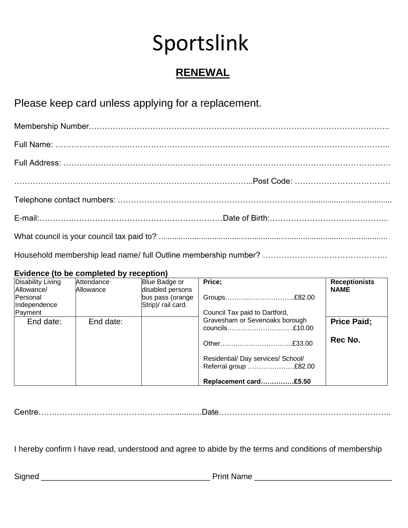# Sportslink

# **RENEWAL**

# Please keep card unless applying for a replacement.

#### **Evidence (to be completed by reception)**

| <b>Disability Living</b>        | Attendance | Blue Badge or                          | Price;                                                      | <b>Receptionists</b> |
|---------------------------------|------------|----------------------------------------|-------------------------------------------------------------|----------------------|
| Allowance/                      | Allowance  | disabled persons                       |                                                             | <b>NAME</b>          |
| <b>Personal</b><br>Independence |            | bus pass (orange<br>Strip)/ rail card. | Groups£82.00                                                |                      |
| Payment                         |            |                                        | Council Tax paid to Dartford,                               |                      |
| End date:                       | End date:  |                                        | Gravesham or Sevenoaks borough                              | <b>Price Paid:</b>   |
|                                 |            |                                        | Other£33.00                                                 | Rec No.              |
|                                 |            |                                        | Residential/ Day services/ School/<br>Referral group £82.00 |                      |
|                                 |            |                                        | Replacement card£5.50                                       |                      |

Centre…………………………………………................Date………………………………………………………..

I hereby confirm I have read, understood and agree to abide by the terms and conditions of membership